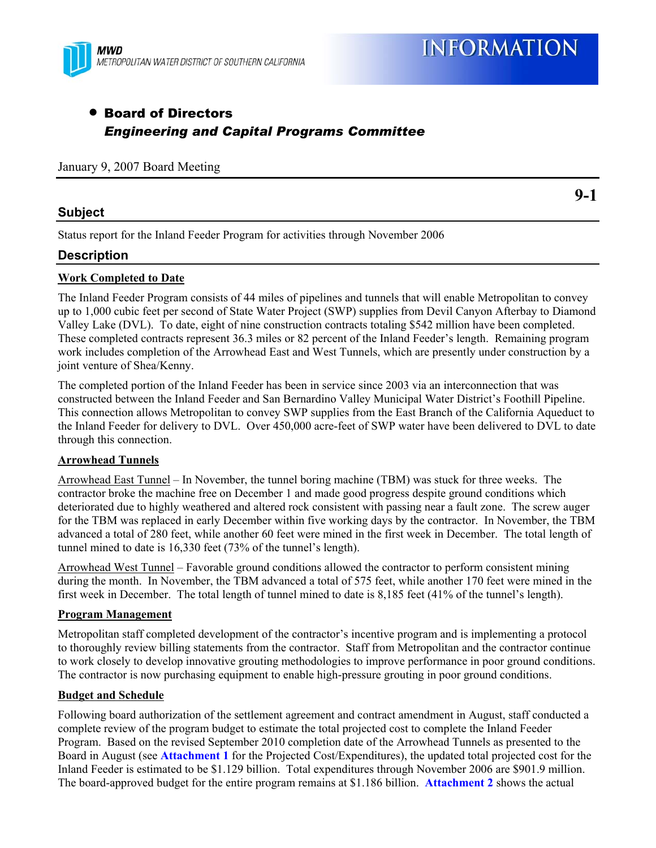

**9-1** 

# • Board of Directors *Engineering and Capital Programs Committee*

## January 9, 2007 Board Meeting

# **Subject**

Status report for the Inland Feeder Program for activities through November 2006

# **Description**

## **Work Completed to Date**

The Inland Feeder Program consists of 44 miles of pipelines and tunnels that will enable Metropolitan to convey up to 1,000 cubic feet per second of State Water Project (SWP) supplies from Devil Canyon Afterbay to Diamond Valley Lake (DVL). To date, eight of nine construction contracts totaling \$542 million have been completed. These completed contracts represent 36.3 miles or 82 percent of the Inland Feeder's length. Remaining program work includes completion of the Arrowhead East and West Tunnels, which are presently under construction by a joint venture of Shea/Kenny.

The completed portion of the Inland Feeder has been in service since 2003 via an interconnection that was constructed between the Inland Feeder and San Bernardino Valley Municipal Water District's Foothill Pipeline. This connection allows Metropolitan to convey SWP supplies from the East Branch of the California Aqueduct to the Inland Feeder for delivery to DVL. Over 450,000 acre-feet of SWP water have been delivered to DVL to date through this connection.

#### **Arrowhead Tunnels**

Arrowhead East Tunnel – In November, the tunnel boring machine (TBM) was stuck for three weeks. The contractor broke the machine free on December 1 and made good progress despite ground conditions which deteriorated due to highly weathered and altered rock consistent with passing near a fault zone. The screw auger for the TBM was replaced in early December within five working days by the contractor. In November, the TBM advanced a total of 280 feet, while another 60 feet were mined in the first week in December. The total length of tunnel mined to date is 16,330 feet (73% of the tunnel's length).

Arrowhead West Tunnel – Favorable ground conditions allowed the contractor to perform consistent mining during the month. In November, the TBM advanced a total of 575 feet, while another 170 feet were mined in the first week in December. The total length of tunnel mined to date is 8,185 feet (41% of the tunnel's length).

#### **Program Management**

Metropolitan staff completed development of the contractor's incentive program and is implementing a protocol to thoroughly review billing statements from the contractor. Staff from Metropolitan and the contractor continue to work closely to develop innovative grouting methodologies to improve performance in poor ground conditions. The contractor is now purchasing equipment to enable high-pressure grouting in poor ground conditions.

## **Budget and Schedule**

Following board authorization of the settlement agreement and contract amendment in August, staff conducted a complete review of the program budget to estimate the total projected cost to complete the Inland Feeder Program. Based on the revised September 2010 completion date of the Arrowhead Tunnels as presented to the Board in August (see **Attachment 1** for the Projected Cost/Expenditures), the updated total projected cost for the Inland Feeder is estimated to be \$1.129 billion. Total expenditures through November 2006 are \$901.9 million. The board-approved budget for the entire program remains at \$1.186 billion. **Attachment 2** shows the actual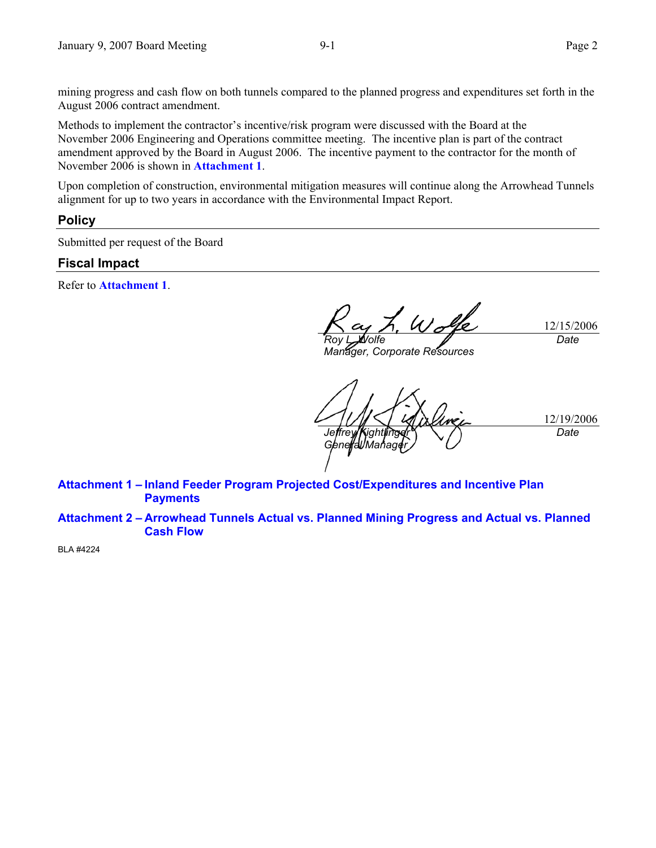mining progress and cash flow on both tunnels compared to the planned progress and expenditures set forth in the August 2006 contract amendment.

Methods to implement the contractor's incentive/risk program were discussed with the Board at the November 2006 Engineering and Operations committee meeting. The incentive plan is part of the contract amendment approved by the Board in August 2006. The incentive payment to the contractor for the month of November 2006 is shown in **Attachment 1**.

Upon completion of construction, environmental mitigation measures will continue along the Arrowhead Tunnels alignment for up to two years in accordance with the Environmental Impact Report.

### **Policy**

Submitted per request of the Board

# **Fiscal Impact**

Refer to **Attachment 1**.

12/15/2006 *Roy L. Wolfe Date* 

*Manager, Corporate Resources* 

12/19/2006 *Jeffrey Kightlinger General Mar Date* 

**Attachment 1 – Inland Feeder Program Projected Cost/Expenditures and Incentive Plan Payments** 

**Attachment 2 – Arrowhead Tunnels Actual vs. Planned Mining Progress and Actual vs. Planned Cash Flow** 

BLA #4224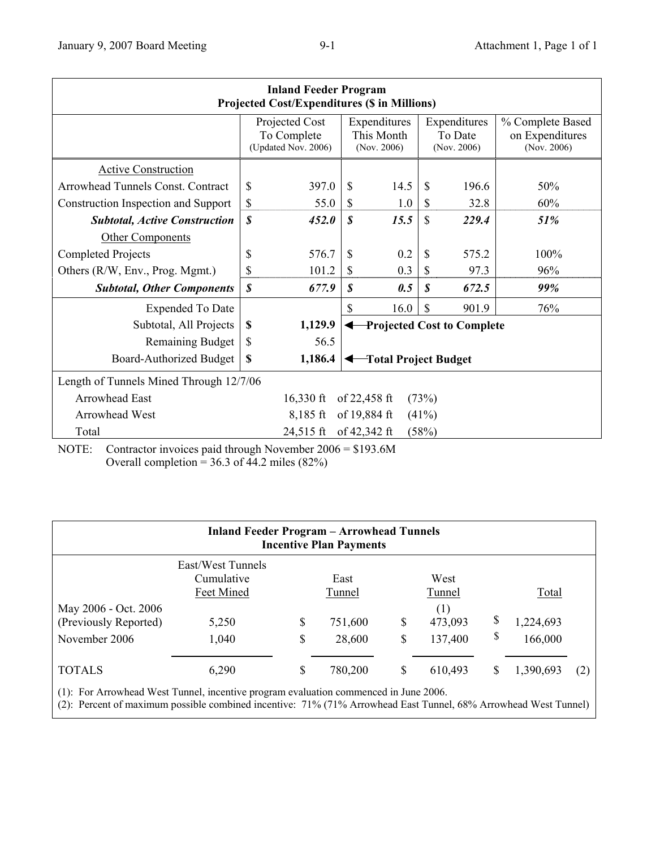| <b>Inland Feeder Program</b><br><b>Projected Cost/Expenditures (\$ in Millions)</b> |                                                      |           |                                           |              |                                        |       |                                                    |  |  |  |  |  |
|-------------------------------------------------------------------------------------|------------------------------------------------------|-----------|-------------------------------------------|--------------|----------------------------------------|-------|----------------------------------------------------|--|--|--|--|--|
|                                                                                     | Projected Cost<br>To Complete<br>(Updated Nov. 2006) |           | Expenditures<br>This Month<br>(Nov. 2006) |              | Expenditures<br>To Date<br>(Nov. 2006) |       | % Complete Based<br>on Expenditures<br>(Nov. 2006) |  |  |  |  |  |
| <b>Active Construction</b>                                                          |                                                      |           |                                           |              |                                        |       |                                                    |  |  |  |  |  |
| Arrowhead Tunnels Const. Contract                                                   | \$                                                   | 397.0     | \$                                        | 14.5         | \$                                     | 196.6 | 50%                                                |  |  |  |  |  |
| <b>Construction Inspection and Support</b>                                          | \$                                                   | 55.0      | \$                                        | 1.0          | \$                                     | 32.8  | 60%                                                |  |  |  |  |  |
| <b>Subtotal, Active Construction</b>                                                | \$                                                   | 452.0     | $\boldsymbol{s}$                          | 15.5         | \$                                     | 229.4 | 51%                                                |  |  |  |  |  |
| Other Components                                                                    |                                                      |           |                                           |              |                                        |       |                                                    |  |  |  |  |  |
| <b>Completed Projects</b>                                                           | \$                                                   | 576.7     | \$                                        | 0.2          | $\mathbb{S}$                           | 575.2 | 100%                                               |  |  |  |  |  |
| Others (R/W, Env., Prog. Mgmt.)                                                     | \$                                                   | 101.2     | S                                         | 0.3          | \$                                     | 97.3  | 96%                                                |  |  |  |  |  |
| <b>Subtotal, Other Components</b>                                                   | \$                                                   | 677.9     | \$                                        | 0.5          | $\boldsymbol{\mathcal{S}}$             | 672.5 | 99%                                                |  |  |  |  |  |
| <b>Expended To Date</b>                                                             |                                                      |           | \$                                        | 16.0         | \$                                     | 901.9 | 76%                                                |  |  |  |  |  |
| Subtotal, All Projects                                                              | S                                                    | 1,129.9   | <b>Projected Cost to Complete</b>         |              |                                        |       |                                                    |  |  |  |  |  |
| <b>Remaining Budget</b>                                                             | \$                                                   | 56.5      |                                           |              |                                        |       |                                                    |  |  |  |  |  |
| Board-Authorized Budget                                                             | \$                                                   | 1,186.4   | Total Project Budget                      |              |                                        |       |                                                    |  |  |  |  |  |
| Length of Tunnels Mined Through 12/7/06                                             |                                                      |           |                                           |              |                                        |       |                                                    |  |  |  |  |  |
| <b>Arrowhead East</b><br>(73%)<br>$16,330 \text{ ft}$<br>of 22,458 ft               |                                                      |           |                                           |              |                                        |       |                                                    |  |  |  |  |  |
| Arrowhead West<br>of 19,884 ft<br>$8,185$ ft<br>(41%)                               |                                                      |           |                                           |              |                                        |       |                                                    |  |  |  |  |  |
| Total                                                                               |                                                      | 24,515 ft |                                           | of 42,342 ft | (58%)                                  |       |                                                    |  |  |  |  |  |

NOTE: Contractor invoices paid through November 2006 = \$193.6M Overall completion =  $36.3$  of 44.2 miles (82%)

| <b>Inland Feeder Program - Arrowhead Tunnels</b><br><b>Incentive Plan Payments</b> |                                               |                |                   |          |                           |         |                      |     |  |  |  |  |  |
|------------------------------------------------------------------------------------|-----------------------------------------------|----------------|-------------------|----------|---------------------------|---------|----------------------|-----|--|--|--|--|--|
|                                                                                    | East/West Tunnels<br>Cumulative<br>Feet Mined | East<br>Tunnel |                   |          | West<br>Tunnel            |         | Total                |     |  |  |  |  |  |
| May 2006 - Oct. 2006<br>(Previously Reported)<br>November 2006                     | 5,250<br>1,040                                | \$<br>\$       | 751,600<br>28,600 | \$<br>\$ | (1)<br>473,093<br>137,400 | \$<br>S | 1,224,693<br>166,000 |     |  |  |  |  |  |
| <b>TOTALS</b>                                                                      | 6,290                                         | \$             | 780,200           | \$       | 610,493                   | S       | 1,390,693            | (2) |  |  |  |  |  |

(1): For Arrowhead West Tunnel, incentive program evaluation commenced in June 2006.

(2): Percent of maximum possible combined incentive: 71% (71% Arrowhead East Tunnel, 68% Arrowhead West Tunnel)